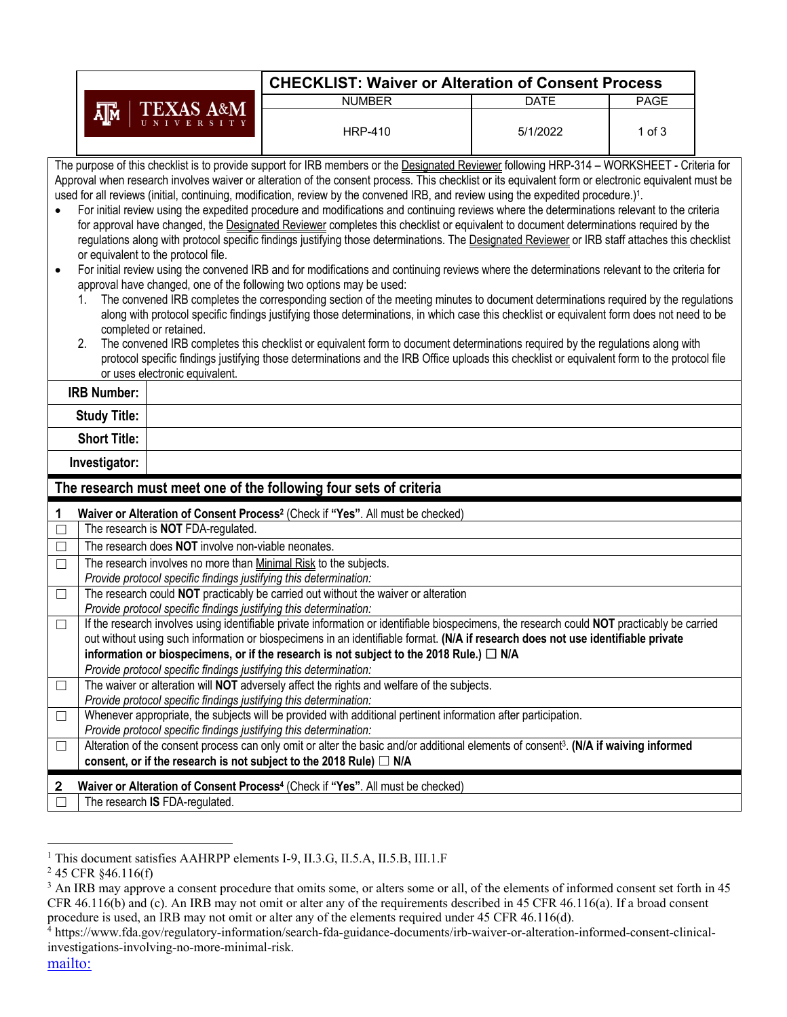|                                                                                                                                                            | <b>CHECKLIST: Waiver or Alteration of Consent Process</b>                                                                                                                                                                                                                                                                                                                                                                                                                                                                                                                                                                                                                                                                                                                                                                                                                                                                                                                                                                                                                                                                                                                                                                                                                                                   |                                                                                                                                                                   |                                                                                                                                                     |             |             |  |  |  |  |  |
|------------------------------------------------------------------------------------------------------------------------------------------------------------|-------------------------------------------------------------------------------------------------------------------------------------------------------------------------------------------------------------------------------------------------------------------------------------------------------------------------------------------------------------------------------------------------------------------------------------------------------------------------------------------------------------------------------------------------------------------------------------------------------------------------------------------------------------------------------------------------------------------------------------------------------------------------------------------------------------------------------------------------------------------------------------------------------------------------------------------------------------------------------------------------------------------------------------------------------------------------------------------------------------------------------------------------------------------------------------------------------------------------------------------------------------------------------------------------------------|-------------------------------------------------------------------------------------------------------------------------------------------------------------------|-----------------------------------------------------------------------------------------------------------------------------------------------------|-------------|-------------|--|--|--|--|--|
|                                                                                                                                                            |                                                                                                                                                                                                                                                                                                                                                                                                                                                                                                                                                                                                                                                                                                                                                                                                                                                                                                                                                                                                                                                                                                                                                                                                                                                                                                             |                                                                                                                                                                   | <b>NUMBER</b>                                                                                                                                       | <b>DATE</b> | <b>PAGE</b> |  |  |  |  |  |
|                                                                                                                                                            | XAS A&M<br>Д™                                                                                                                                                                                                                                                                                                                                                                                                                                                                                                                                                                                                                                                                                                                                                                                                                                                                                                                                                                                                                                                                                                                                                                                                                                                                                               |                                                                                                                                                                   | <b>HRP-410</b>                                                                                                                                      | 5/1/2022    | $1$ of $3$  |  |  |  |  |  |
| The purpose of this checklist is to provide support for IRB members or the Designated Reviewer following HRP-314 - WORKSHEET - Criteria for                |                                                                                                                                                                                                                                                                                                                                                                                                                                                                                                                                                                                                                                                                                                                                                                                                                                                                                                                                                                                                                                                                                                                                                                                                                                                                                                             |                                                                                                                                                                   |                                                                                                                                                     |             |             |  |  |  |  |  |
|                                                                                                                                                            |                                                                                                                                                                                                                                                                                                                                                                                                                                                                                                                                                                                                                                                                                                                                                                                                                                                                                                                                                                                                                                                                                                                                                                                                                                                                                                             |                                                                                                                                                                   | Approval when research involves waiver or alteration of the consent process. This checklist or its equivalent form or electronic equivalent must be |             |             |  |  |  |  |  |
|                                                                                                                                                            | used for all reviews (initial, continuing, modification, review by the convened IRB, and review using the expedited procedure.) <sup>1</sup> .                                                                                                                                                                                                                                                                                                                                                                                                                                                                                                                                                                                                                                                                                                                                                                                                                                                                                                                                                                                                                                                                                                                                                              |                                                                                                                                                                   |                                                                                                                                                     |             |             |  |  |  |  |  |
| $\bullet$<br>$\bullet$                                                                                                                                     | For initial review using the expedited procedure and modifications and continuing reviews where the determinations relevant to the criteria<br>for approval have changed, the Designated Reviewer completes this checklist or equivalent to document determinations required by the<br>regulations along with protocol specific findings justifying those determinations. The Designated Reviewer or IRB staff attaches this checklist<br>or equivalent to the protocol file.<br>For initial review using the convened IRB and for modifications and continuing reviews where the determinations relevant to the criteria for<br>approval have changed, one of the following two options may be used:<br>The convened IRB completes the corresponding section of the meeting minutes to document determinations required by the regulations<br>along with protocol specific findings justifying those determinations, in which case this checklist or equivalent form does not need to be<br>completed or retained.<br>The convened IRB completes this checklist or equivalent form to document determinations required by the regulations along with<br>2.<br>protocol specific findings justifying those determinations and the IRB Office uploads this checklist or equivalent form to the protocol file |                                                                                                                                                                   |                                                                                                                                                     |             |             |  |  |  |  |  |
|                                                                                                                                                            | or uses electronic equivalent.<br><b>IRB Number:</b>                                                                                                                                                                                                                                                                                                                                                                                                                                                                                                                                                                                                                                                                                                                                                                                                                                                                                                                                                                                                                                                                                                                                                                                                                                                        |                                                                                                                                                                   |                                                                                                                                                     |             |             |  |  |  |  |  |
|                                                                                                                                                            | <b>Study Title:</b>                                                                                                                                                                                                                                                                                                                                                                                                                                                                                                                                                                                                                                                                                                                                                                                                                                                                                                                                                                                                                                                                                                                                                                                                                                                                                         |                                                                                                                                                                   |                                                                                                                                                     |             |             |  |  |  |  |  |
|                                                                                                                                                            | <b>Short Title:</b>                                                                                                                                                                                                                                                                                                                                                                                                                                                                                                                                                                                                                                                                                                                                                                                                                                                                                                                                                                                                                                                                                                                                                                                                                                                                                         |                                                                                                                                                                   |                                                                                                                                                     |             |             |  |  |  |  |  |
| Investigator:                                                                                                                                              |                                                                                                                                                                                                                                                                                                                                                                                                                                                                                                                                                                                                                                                                                                                                                                                                                                                                                                                                                                                                                                                                                                                                                                                                                                                                                                             |                                                                                                                                                                   |                                                                                                                                                     |             |             |  |  |  |  |  |
|                                                                                                                                                            |                                                                                                                                                                                                                                                                                                                                                                                                                                                                                                                                                                                                                                                                                                                                                                                                                                                                                                                                                                                                                                                                                                                                                                                                                                                                                                             |                                                                                                                                                                   | The research must meet one of the following four sets of criteria                                                                                   |             |             |  |  |  |  |  |
| 1                                                                                                                                                          |                                                                                                                                                                                                                                                                                                                                                                                                                                                                                                                                                                                                                                                                                                                                                                                                                                                                                                                                                                                                                                                                                                                                                                                                                                                                                                             |                                                                                                                                                                   | Waiver or Alteration of Consent Process <sup>2</sup> (Check if "Yes". All must be checked)                                                          |             |             |  |  |  |  |  |
| $\Box$                                                                                                                                                     |                                                                                                                                                                                                                                                                                                                                                                                                                                                                                                                                                                                                                                                                                                                                                                                                                                                                                                                                                                                                                                                                                                                                                                                                                                                                                                             | The research is <b>NOT</b> FDA-regulated.                                                                                                                         |                                                                                                                                                     |             |             |  |  |  |  |  |
| $\Box$                                                                                                                                                     |                                                                                                                                                                                                                                                                                                                                                                                                                                                                                                                                                                                                                                                                                                                                                                                                                                                                                                                                                                                                                                                                                                                                                                                                                                                                                                             | The research does NOT involve non-viable neonates.                                                                                                                |                                                                                                                                                     |             |             |  |  |  |  |  |
| $\overline{\Box}$                                                                                                                                          |                                                                                                                                                                                                                                                                                                                                                                                                                                                                                                                                                                                                                                                                                                                                                                                                                                                                                                                                                                                                                                                                                                                                                                                                                                                                                                             |                                                                                                                                                                   | The research involves no more than Minimal Risk to the subjects.                                                                                    |             |             |  |  |  |  |  |
|                                                                                                                                                            |                                                                                                                                                                                                                                                                                                                                                                                                                                                                                                                                                                                                                                                                                                                                                                                                                                                                                                                                                                                                                                                                                                                                                                                                                                                                                                             | Provide protocol specific findings justifying this determination:                                                                                                 |                                                                                                                                                     |             |             |  |  |  |  |  |
| $\Box$                                                                                                                                                     |                                                                                                                                                                                                                                                                                                                                                                                                                                                                                                                                                                                                                                                                                                                                                                                                                                                                                                                                                                                                                                                                                                                                                                                                                                                                                                             |                                                                                                                                                                   | The research could NOT practicably be carried out without the waiver or alteration                                                                  |             |             |  |  |  |  |  |
| $\Box$                                                                                                                                                     |                                                                                                                                                                                                                                                                                                                                                                                                                                                                                                                                                                                                                                                                                                                                                                                                                                                                                                                                                                                                                                                                                                                                                                                                                                                                                                             | Provide protocol specific findings justifying this determination:                                                                                                 | If the research involves using identifiable private information or identifiable biospecimens, the research could NOT practicably be carried         |             |             |  |  |  |  |  |
|                                                                                                                                                            |                                                                                                                                                                                                                                                                                                                                                                                                                                                                                                                                                                                                                                                                                                                                                                                                                                                                                                                                                                                                                                                                                                                                                                                                                                                                                                             |                                                                                                                                                                   | out without using such information or biospecimens in an identifiable format. (N/A if research does not use identifiable private                    |             |             |  |  |  |  |  |
|                                                                                                                                                            |                                                                                                                                                                                                                                                                                                                                                                                                                                                                                                                                                                                                                                                                                                                                                                                                                                                                                                                                                                                                                                                                                                                                                                                                                                                                                                             |                                                                                                                                                                   |                                                                                                                                                     |             |             |  |  |  |  |  |
|                                                                                                                                                            |                                                                                                                                                                                                                                                                                                                                                                                                                                                                                                                                                                                                                                                                                                                                                                                                                                                                                                                                                                                                                                                                                                                                                                                                                                                                                                             | information or biospecimens, or if the research is not subject to the 2018 Rule.) $\Box$ N/A<br>Provide protocol specific findings justifying this determination: |                                                                                                                                                     |             |             |  |  |  |  |  |
| $\Box$                                                                                                                                                     |                                                                                                                                                                                                                                                                                                                                                                                                                                                                                                                                                                                                                                                                                                                                                                                                                                                                                                                                                                                                                                                                                                                                                                                                                                                                                                             |                                                                                                                                                                   | The waiver or alteration will NOT adversely affect the rights and welfare of the subjects.                                                          |             |             |  |  |  |  |  |
|                                                                                                                                                            |                                                                                                                                                                                                                                                                                                                                                                                                                                                                                                                                                                                                                                                                                                                                                                                                                                                                                                                                                                                                                                                                                                                                                                                                                                                                                                             | Provide protocol specific findings justifying this determination:                                                                                                 |                                                                                                                                                     |             |             |  |  |  |  |  |
| $\Box$                                                                                                                                                     |                                                                                                                                                                                                                                                                                                                                                                                                                                                                                                                                                                                                                                                                                                                                                                                                                                                                                                                                                                                                                                                                                                                                                                                                                                                                                                             |                                                                                                                                                                   |                                                                                                                                                     |             |             |  |  |  |  |  |
|                                                                                                                                                            | Whenever appropriate, the subjects will be provided with additional pertinent information after participation.<br>Provide protocol specific findings justifying this determination:                                                                                                                                                                                                                                                                                                                                                                                                                                                                                                                                                                                                                                                                                                                                                                                                                                                                                                                                                                                                                                                                                                                         |                                                                                                                                                                   |                                                                                                                                                     |             |             |  |  |  |  |  |
| Alteration of the consent process can only omit or alter the basic and/or additional elements of consent <sup>3</sup> . (N/A if waiving informed<br>$\Box$ |                                                                                                                                                                                                                                                                                                                                                                                                                                                                                                                                                                                                                                                                                                                                                                                                                                                                                                                                                                                                                                                                                                                                                                                                                                                                                                             |                                                                                                                                                                   |                                                                                                                                                     |             |             |  |  |  |  |  |
|                                                                                                                                                            |                                                                                                                                                                                                                                                                                                                                                                                                                                                                                                                                                                                                                                                                                                                                                                                                                                                                                                                                                                                                                                                                                                                                                                                                                                                                                                             |                                                                                                                                                                   | consent, or if the research is not subject to the 2018 Rule) $\Box$ N/A                                                                             |             |             |  |  |  |  |  |
| 2                                                                                                                                                          |                                                                                                                                                                                                                                                                                                                                                                                                                                                                                                                                                                                                                                                                                                                                                                                                                                                                                                                                                                                                                                                                                                                                                                                                                                                                                                             |                                                                                                                                                                   | Waiver or Alteration of Consent Process <sup>4</sup> (Check if "Yes". All must be checked)                                                          |             |             |  |  |  |  |  |
|                                                                                                                                                            |                                                                                                                                                                                                                                                                                                                                                                                                                                                                                                                                                                                                                                                                                                                                                                                                                                                                                                                                                                                                                                                                                                                                                                                                                                                                                                             | The research IS FDA-regulated.                                                                                                                                    |                                                                                                                                                     |             |             |  |  |  |  |  |

<sup>1</sup> This document satisfies AAHRPP elements I-9, II.3.G, II.5.A, II.5.B, III.1.F

 $245$  CFR  $§46.116(f)$ 

<sup>&</sup>lt;sup>3</sup> An IRB may approve a consent procedure that omits some, or alters some or all, of the elements of informed consent set forth in 45 CFR 46.116(b) and (c). An IRB may not omit or alter any of the requirements described in 45 CFR 46.116(a). If a broad consent procedure is used, an IRB may not omit or alter any of the elements required under 45 CFR 46.116(d).

<sup>4</sup> https://www.fda.gov/regulatory-information/search-fda-guidance-documents/irb-waiver-or-alteration-informed-consent-clinicalinvestigations-involving-no-more-minimal-risk.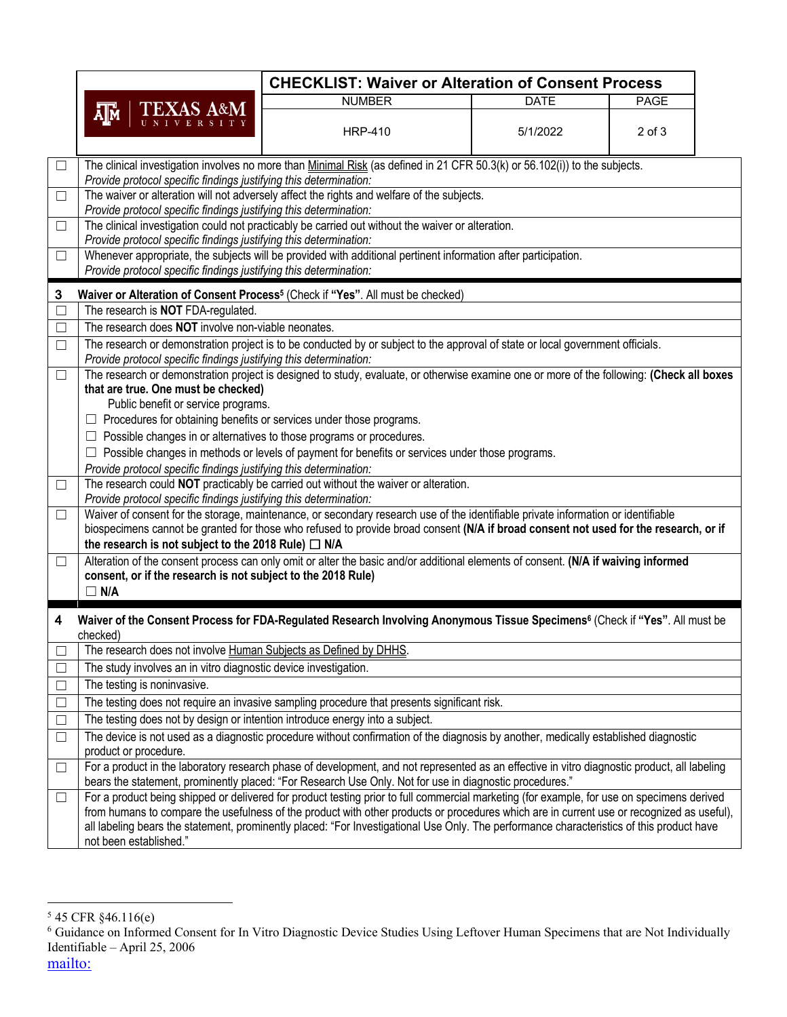|        |                                                                                                                                                                                                                                                                                                                                                                                                                                                                                                                                                     | <b>CHECKLIST: Waiver or Alteration of Consent Process</b>                                                                               |             |             |  |  |  |  |  |
|--------|-----------------------------------------------------------------------------------------------------------------------------------------------------------------------------------------------------------------------------------------------------------------------------------------------------------------------------------------------------------------------------------------------------------------------------------------------------------------------------------------------------------------------------------------------------|-----------------------------------------------------------------------------------------------------------------------------------------|-------------|-------------|--|--|--|--|--|
|        |                                                                                                                                                                                                                                                                                                                                                                                                                                                                                                                                                     | <b>NUMBER</b>                                                                                                                           | <b>DATE</b> | <b>PAGE</b> |  |  |  |  |  |
|        | TEXAS A&M<br>Д™                                                                                                                                                                                                                                                                                                                                                                                                                                                                                                                                     | <b>HRP-410</b>                                                                                                                          | 5/1/2022    | $2$ of $3$  |  |  |  |  |  |
| $\Box$ | The clinical investigation involves no more than Minimal Risk (as defined in 21 CFR 50.3(k) or 56.102(i)) to the subjects.<br>Provide protocol specific findings justifying this determination:                                                                                                                                                                                                                                                                                                                                                     |                                                                                                                                         |             |             |  |  |  |  |  |
| $\Box$ |                                                                                                                                                                                                                                                                                                                                                                                                                                                                                                                                                     | The waiver or alteration will not adversely affect the rights and welfare of the subjects.                                              |             |             |  |  |  |  |  |
| $\Box$ | Provide protocol specific findings justifying this determination:                                                                                                                                                                                                                                                                                                                                                                                                                                                                                   | The clinical investigation could not practicably be carried out without the waiver or alteration.                                       |             |             |  |  |  |  |  |
|        | Provide protocol specific findings justifying this determination:                                                                                                                                                                                                                                                                                                                                                                                                                                                                                   |                                                                                                                                         |             |             |  |  |  |  |  |
| $\Box$ | Whenever appropriate, the subjects will be provided with additional pertinent information after participation.<br>Provide protocol specific findings justifying this determination:                                                                                                                                                                                                                                                                                                                                                                 |                                                                                                                                         |             |             |  |  |  |  |  |
| 3      | Waiver or Alteration of Consent Process <sup>5</sup> (Check if "Yes". All must be checked)                                                                                                                                                                                                                                                                                                                                                                                                                                                          |                                                                                                                                         |             |             |  |  |  |  |  |
| $\Box$ | The research is <b>NOT</b> FDA-regulated.                                                                                                                                                                                                                                                                                                                                                                                                                                                                                                           |                                                                                                                                         |             |             |  |  |  |  |  |
| $\Box$ | The research does NOT involve non-viable neonates.                                                                                                                                                                                                                                                                                                                                                                                                                                                                                                  |                                                                                                                                         |             |             |  |  |  |  |  |
| $\Box$ | The research or demonstration project is to be conducted by or subject to the approval of state or local government officials.<br>Provide protocol specific findings justifying this determination:                                                                                                                                                                                                                                                                                                                                                 |                                                                                                                                         |             |             |  |  |  |  |  |
| $\Box$ | The research or demonstration project is designed to study, evaluate, or otherwise examine one or more of the following: (Check all boxes<br>that are true. One must be checked)<br>Public benefit or service programs.<br>Procedures for obtaining benefits or services under those programs.<br>Possible changes in or alternatives to those programs or procedures.<br>⊔<br>Possible changes in methods or levels of payment for benefits or services under those programs.<br>Provide protocol specific findings justifying this determination: |                                                                                                                                         |             |             |  |  |  |  |  |
| $\Box$ | Provide protocol specific findings justifying this determination:                                                                                                                                                                                                                                                                                                                                                                                                                                                                                   | The research could NOT practicably be carried out without the waiver or alteration.                                                     |             |             |  |  |  |  |  |
| $\Box$ | Waiver of consent for the storage, maintenance, or secondary research use of the identifiable private information or identifiable<br>biospecimens cannot be granted for those who refused to provide broad consent (N/A if broad consent not used for the research, or if<br>the research is not subject to the 2018 Rule) $\Box$ N/A                                                                                                                                                                                                               |                                                                                                                                         |             |             |  |  |  |  |  |
| $\Box$ | Alteration of the consent process can only omit or alter the basic and/or additional elements of consent. (N/A if waiving informed<br>consent, or if the research is not subject to the 2018 Rule)<br>$\Box$ N/A                                                                                                                                                                                                                                                                                                                                    |                                                                                                                                         |             |             |  |  |  |  |  |
| 4      | checked)                                                                                                                                                                                                                                                                                                                                                                                                                                                                                                                                            | Waiver of the Consent Process for FDA-Regulated Research Involving Anonymous Tissue Specimens <sup>6</sup> (Check if "Yes". All must be |             |             |  |  |  |  |  |
|        | The research does not involve Human Subjects as Defined by DHHS.                                                                                                                                                                                                                                                                                                                                                                                                                                                                                    |                                                                                                                                         |             |             |  |  |  |  |  |
| $\Box$ | The study involves an in vitro diagnostic device investigation.                                                                                                                                                                                                                                                                                                                                                                                                                                                                                     |                                                                                                                                         |             |             |  |  |  |  |  |
| $\Box$ | The testing is noninvasive.                                                                                                                                                                                                                                                                                                                                                                                                                                                                                                                         |                                                                                                                                         |             |             |  |  |  |  |  |
| $\Box$ |                                                                                                                                                                                                                                                                                                                                                                                                                                                                                                                                                     | The testing does not require an invasive sampling procedure that presents significant risk.                                             |             |             |  |  |  |  |  |
| $\Box$ |                                                                                                                                                                                                                                                                                                                                                                                                                                                                                                                                                     | The testing does not by design or intention introduce energy into a subject.                                                            |             |             |  |  |  |  |  |
| $\Box$ | product or procedure.                                                                                                                                                                                                                                                                                                                                                                                                                                                                                                                               | The device is not used as a diagnostic procedure without confirmation of the diagnosis by another, medically established diagnostic     |             |             |  |  |  |  |  |
| $\Box$ | For a product in the laboratory research phase of development, and not represented as an effective in vitro diagnostic product, all labeling<br>bears the statement, prominently placed: "For Research Use Only. Not for use in diagnostic procedures."                                                                                                                                                                                                                                                                                             |                                                                                                                                         |             |             |  |  |  |  |  |
| $\Box$ | For a product being shipped or delivered for product testing prior to full commercial marketing (for example, for use on specimens derived<br>from humans to compare the usefulness of the product with other products or procedures which are in current use or recognized as useful),<br>all labeling bears the statement, prominently placed: "For Investigational Use Only. The performance characteristics of this product have<br>not been established."                                                                                      |                                                                                                                                         |             |             |  |  |  |  |  |

 $545$  CFR  $§46.116(e)$ 

<sup>6</sup> Guidance on Informed Consent for In Vitro Diagnostic Device Studies Using Leftover Human Specimens that are Not Individually Identifiable – April 25, 2006